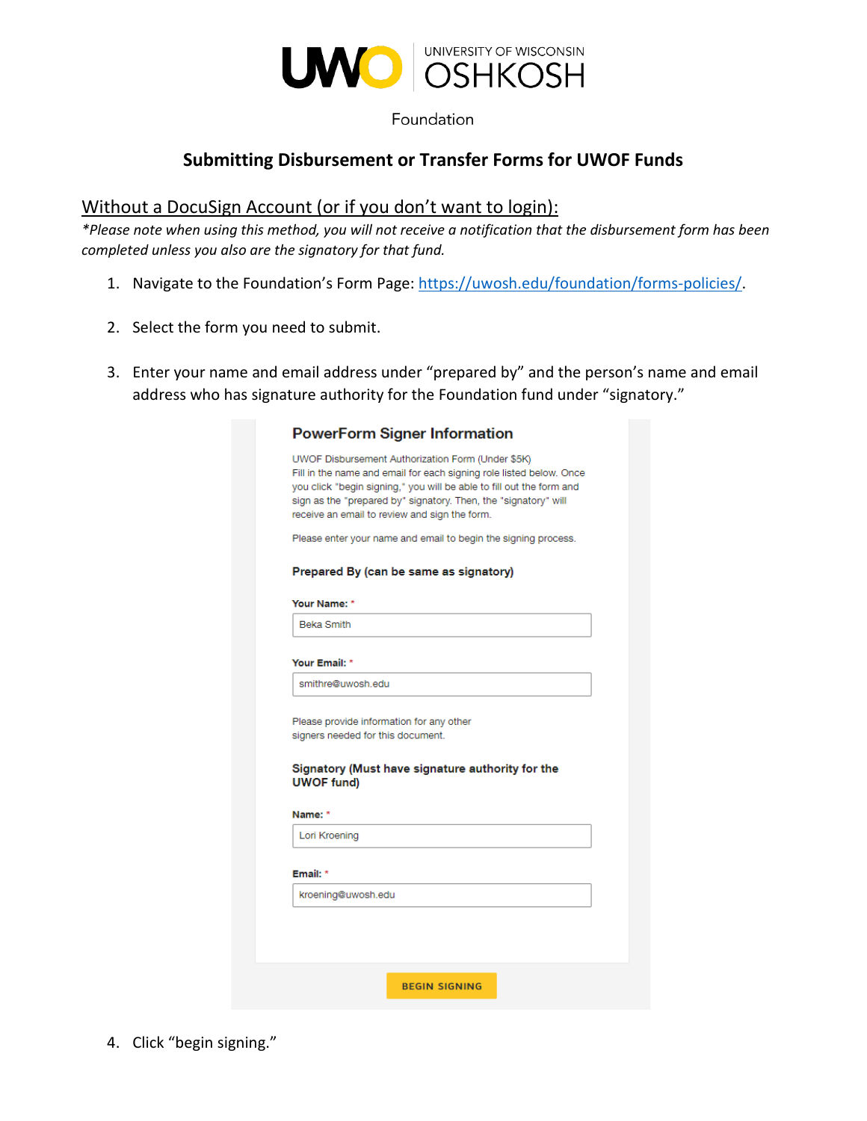

Foundation

## **Submitting Disbursement or Transfer Forms for UWOF Funds**

### Without a DocuSign Account (or if you don't want to login):

*\*Please note when using this method, you will not receive a notification that the disbursement form has been completed unless you also are the signatory for that fund.*

- 1. Navigate to the Foundation's Form Page: [https://uwosh.edu/foundation/forms-policies/.](https://uwosh.edu/foundation/forms-policies/)
- 2. Select the form you need to submit.
- 3. Enter your name and email address under "prepared by" and the person's name and email address who has signature authority for the Foundation fund under "signatory."

|                   | <b>PowerForm Signer Information</b>                                                                                                                                                                                                                                                                                  |
|-------------------|----------------------------------------------------------------------------------------------------------------------------------------------------------------------------------------------------------------------------------------------------------------------------------------------------------------------|
|                   | UWOF Disbursement Authorization Form (Under \$5K)<br>Fill in the name and email for each signing role listed below. Once<br>you click "begin signing," you will be able to fill out the form and<br>sign as the "prepared by" signatory. Then, the "signatory" will<br>receive an email to review and sign the form. |
|                   | Please enter your name and email to begin the signing process.                                                                                                                                                                                                                                                       |
|                   | Prepared By (can be same as signatory)                                                                                                                                                                                                                                                                               |
| Your Name: *      |                                                                                                                                                                                                                                                                                                                      |
| <b>Beka Smith</b> |                                                                                                                                                                                                                                                                                                                      |
| Your Email: *     |                                                                                                                                                                                                                                                                                                                      |
|                   | smithre@uwosh.edu                                                                                                                                                                                                                                                                                                    |
|                   |                                                                                                                                                                                                                                                                                                                      |
| <b>UWOF fund)</b> | Please provide information for any other<br>signers needed for this document.<br>Signatory (Must have signature authority for the                                                                                                                                                                                    |
| Name: *           |                                                                                                                                                                                                                                                                                                                      |
| Lori Kroening     |                                                                                                                                                                                                                                                                                                                      |
| Email: *          |                                                                                                                                                                                                                                                                                                                      |

4. Click "begin signing."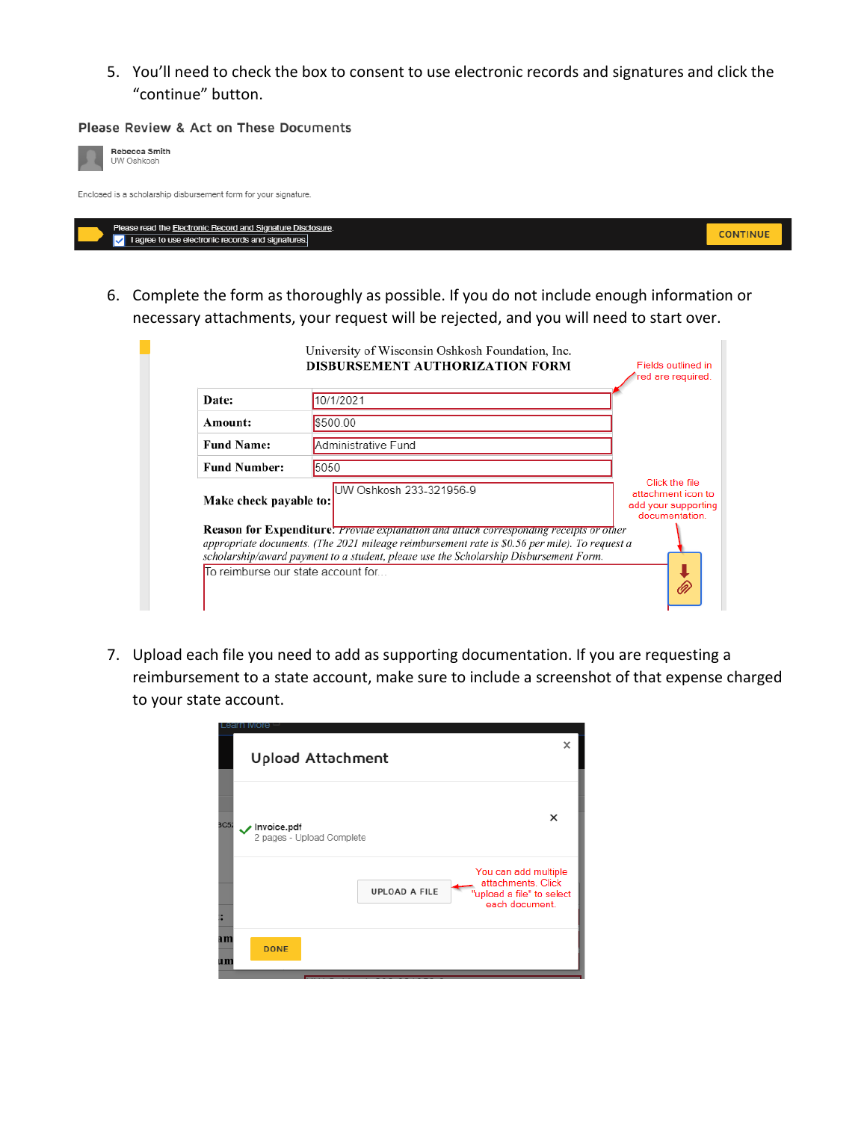5. You'll need to check the box to consent to use electronic records and signatures and click the "continue" button.

#### Please Review & Act on These Documents

| Rebecca Smith<br>UW Oshkosh                                                                                                 |                 |
|-----------------------------------------------------------------------------------------------------------------------------|-----------------|
| Enclosed is a scholarship disbursement form for your signature.                                                             |                 |
| Please read the Electronic Record and Signature Disclosure.<br>$\sqrt{ }$ I agree to use electronic records and signatures. | <b>CONTINUE</b> |

6. Complete the form as thoroughly as possible. If you do not include enough information or necessary attachments, your request will be rejected, and you will need to start over.

| Date:                  | 10/1/2021                                                                                                                                                                              |                                                                               |
|------------------------|----------------------------------------------------------------------------------------------------------------------------------------------------------------------------------------|-------------------------------------------------------------------------------|
| Amount:                | \$500.00                                                                                                                                                                               |                                                                               |
| <b>Fund Name:</b>      | Administrative Fund                                                                                                                                                                    |                                                                               |
| <b>Fund Number:</b>    | 5050                                                                                                                                                                                   |                                                                               |
| Make check payable to: | UW Oshkosh 233-321956-9                                                                                                                                                                | Click the file<br>attachment icon to<br>add your supporting<br>documentation. |
|                        | <b>Reason for Expenditure:</b> Provide explanation and attach corresponding receipts or other                                                                                          |                                                                               |
|                        | appropriate documents. (The 2021 mileage reimbursement rate is \$0.56 per mile). To request a<br>scholarship/award payment to a student, please use the Scholarship Disbursement Form. |                                                                               |

7. Upload each file you need to add as supporting documentation. If you are requesting a reimbursement to a state account, make sure to include a screenshot of that expense charged to your state account.

|          | Leann More                                                                                                        |   |
|----------|-------------------------------------------------------------------------------------------------------------------|---|
|          | Upload Attachment                                                                                                 | × |
| 3C5:     | ×<br>Invoice.pdf<br>2 pages - Upload Complete                                                                     |   |
|          | You can add multiple<br>attachments. Click<br><b>UPLOAD A FILE</b><br>"upload a file" to select<br>each document. |   |
| am<br>um | <b>DONE</b>                                                                                                       |   |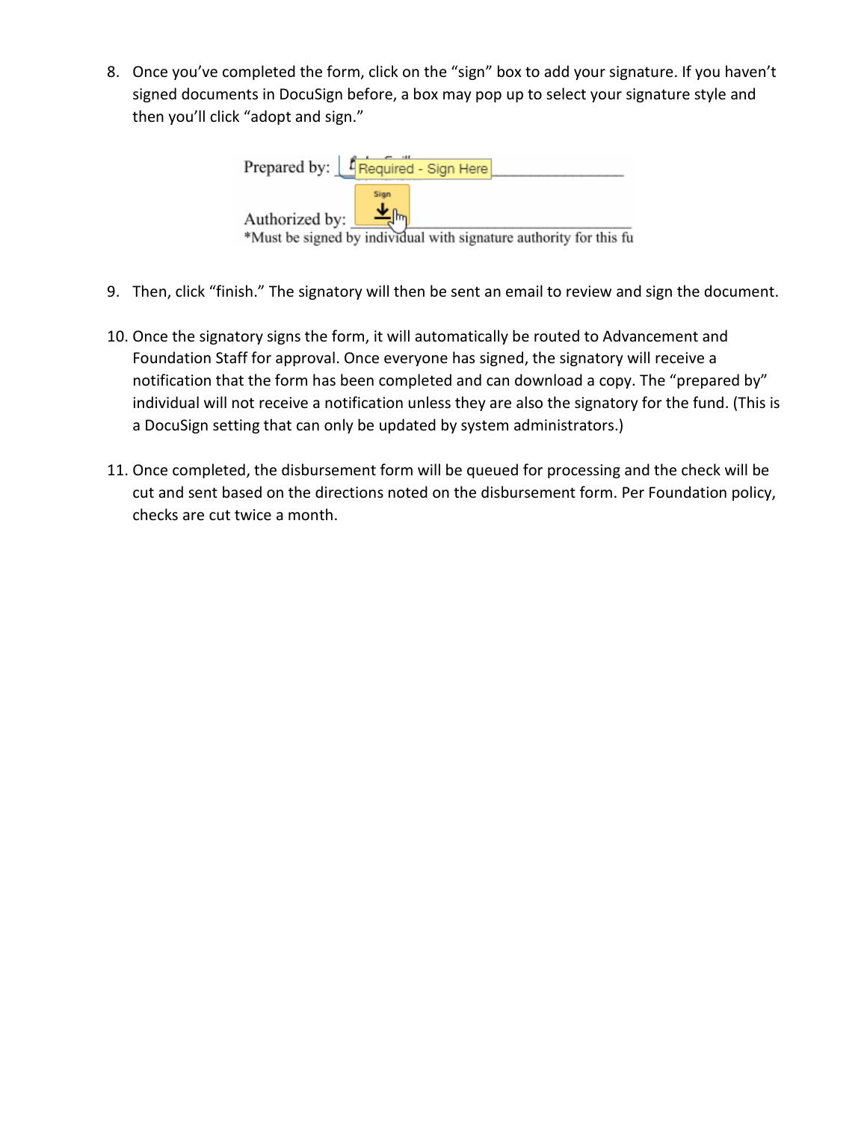8. Once you've completed the form, click on the "sign" box to add your signature. If you haven't signed documents in DocuSign before, a box may pop up to select your signature style and then you'll click "adopt and sign."

| Prepared by:   4 Required - Sign Here                                                        |
|----------------------------------------------------------------------------------------------|
| Sign<br>Authorized by:<br>*Must be signed by individual with signature authority for this fu |

- 9. Then, click "finish." The signatory will then be sent an email to review and sign the document.
- 10. Once the signatory signs the form, it will automatically be routed to Advancement and Foundation Staff for approval. Once everyone has signed, the signatory will receive a notification that the form has been completed and can download a copy. The "prepared by" individual will not receive a notification unless they are also the signatory for the fund. (This is a DocuSign setting that can only be updated by system administrators.)
- 11. Once completed, the disbursement form will be queued for processing and the check will be cut and sent based on the directions noted on the disbursement form. Per Foundation policy, checks are cut twice a month.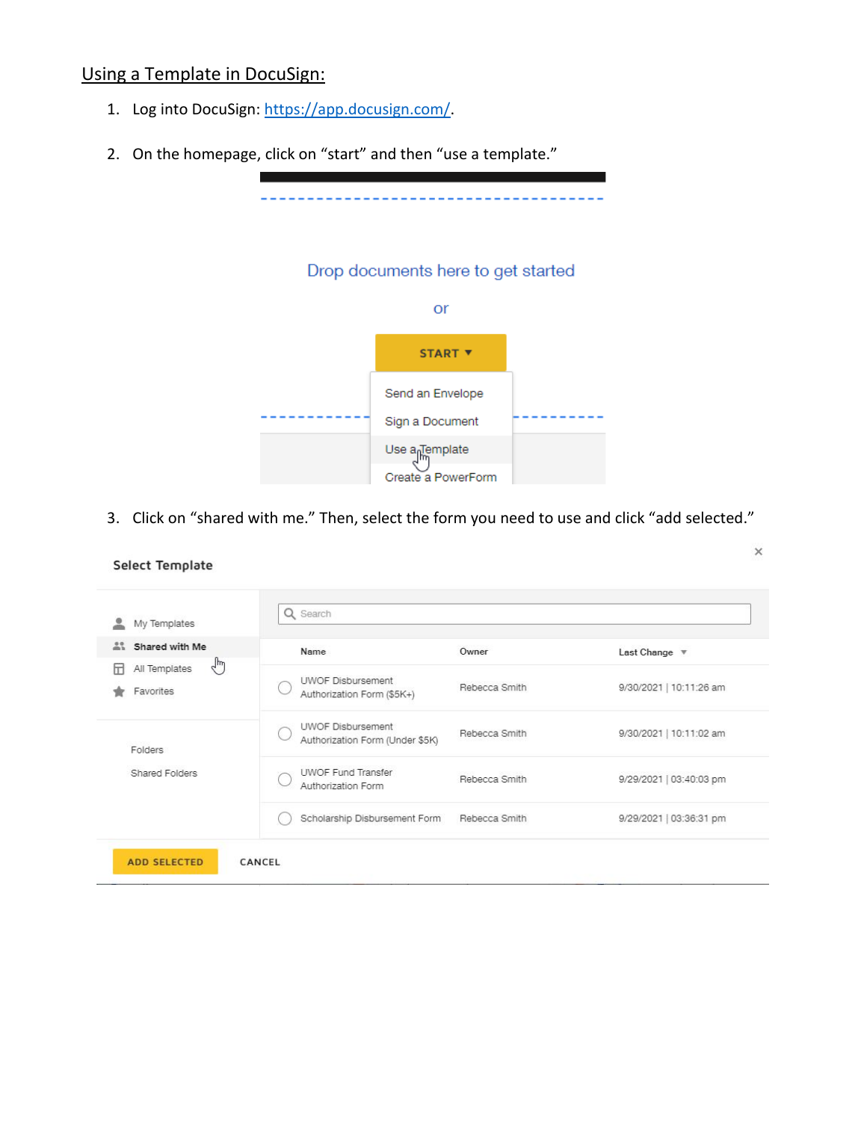# Using a Template in DocuSign:

- 1. Log into DocuSign[: https://app.docusign.com/.](https://app.docusign.com/)
- 2. On the homepage, click on "start" and then "use a template."



3. Click on "shared with me." Then, select the form you need to use and click "add selected."

 $\times$ 

| $\mathbb{R}^n$<br>Shared with Me                 | Name                                                        | Owner         | Last Change $\Psi$      |
|--------------------------------------------------|-------------------------------------------------------------|---------------|-------------------------|
| $\frac{1}{2}$<br>All Templates<br>Ы<br>Favorites | <b>UWOF Disbursement</b><br>Authorization Form (\$5K+)      | Rebecca Smith | 9/30/2021   10:11:26 am |
| Folders                                          | <b>UWOF Disbursement</b><br>Authorization Form (Under \$5K) | Rebecca Smith | 9/30/2021   10:11:02 am |
| Shared Folders                                   | <b>UWOF Fund Transfer</b><br>Authorization Form             | Rebecca Smith | 9/29/2021   03:40:03 pm |
|                                                  | Scholarship Disbursement Form                               | Rebecca Smith | 9/29/2021   03:36:31 pm |

#### Select Template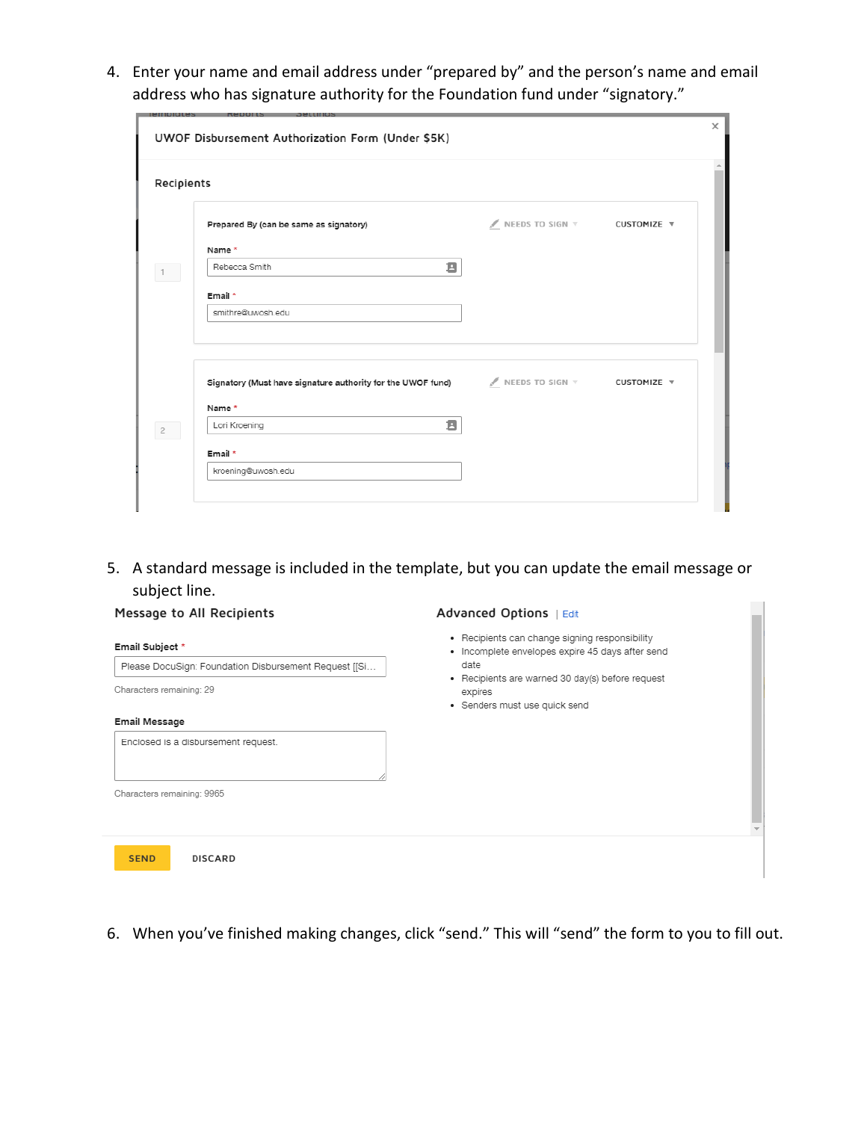4. Enter your name and email address under "prepared by" and the person's name and email address who has signature authority for the Foundation fund under "signatory."

| Recipients     |                                                                                                       |                             |  |
|----------------|-------------------------------------------------------------------------------------------------------|-----------------------------|--|
|                | Prepared By (can be same as signatory)                                                                | NEEDS TO SIGN V CUSTOMIZE V |  |
|                | Name *                                                                                                |                             |  |
| 1              | Ξ<br>Rebecca Smith                                                                                    |                             |  |
|                | Email *                                                                                               |                             |  |
|                | smithre@uwosh.edu                                                                                     |                             |  |
|                |                                                                                                       |                             |  |
|                | Signatory (Must have signature authority for the UWOF fund) NEEDS TO SIGN $\nabla$ CUSTOMIZE $\nabla$ |                             |  |
|                | Name *                                                                                                |                             |  |
| $\overline{2}$ | Е<br>Lori Kroening                                                                                    |                             |  |
|                | Email *                                                                                               |                             |  |
|                | kroening@uwosh.edu                                                                                    |                             |  |

5. A standard message is included in the template, but you can update the email message or subject line.

| Message to All Recipients                                                                            | Advanced Options   Edit                                                                                                                                                                                    |
|------------------------------------------------------------------------------------------------------|------------------------------------------------------------------------------------------------------------------------------------------------------------------------------------------------------------|
| Email Subject *<br>Please DocuSign: Foundation Disbursement Request [[Si<br>Characters remaining: 29 | • Recipients can change signing responsibility<br>· Incomplete envelopes expire 45 days after send<br>date<br>• Recipients are warned 30 day(s) before request<br>expires<br>• Senders must use quick send |
| <b>Email Message</b>                                                                                 |                                                                                                                                                                                                            |
| Enclosed is a disbursement request.<br>Characters remaining: 9965                                    |                                                                                                                                                                                                            |
| <b>SEND</b><br><b>DISCARD</b>                                                                        |                                                                                                                                                                                                            |

6. When you've finished making changes, click "send." This will "send" the form to you to fill out.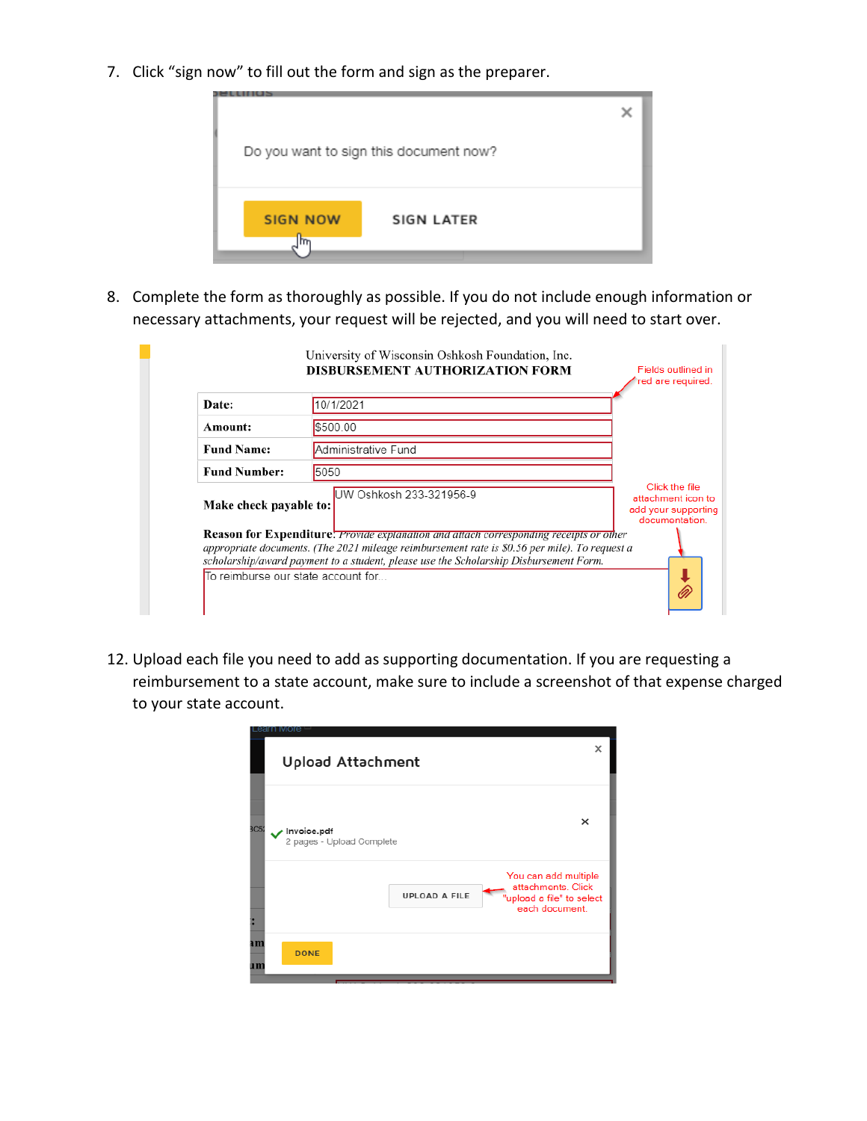7. Click "sign now" to fill out the form and sign as the preparer.



8. Complete the form as thoroughly as possible. If you do not include enough information or necessary attachments, your request will be rejected, and you will need to start over.

| Date:                  | 10/1/2021                                                                                                                                                                                                                                                                                                                     |                                                                               |
|------------------------|-------------------------------------------------------------------------------------------------------------------------------------------------------------------------------------------------------------------------------------------------------------------------------------------------------------------------------|-------------------------------------------------------------------------------|
| Amount:                | \$500.00                                                                                                                                                                                                                                                                                                                      |                                                                               |
| <b>Fund Name:</b>      | Administrative Fund                                                                                                                                                                                                                                                                                                           |                                                                               |
| <b>Fund Number:</b>    | 5050                                                                                                                                                                                                                                                                                                                          |                                                                               |
| Make check payable to: | UW Oshkosh 233-321956-9                                                                                                                                                                                                                                                                                                       | Click the file<br>attachment icon to<br>add your supporting<br>documentation. |
|                        | <b>Reason for Expenditure:</b> Provide explanation and attach corresponding receipts or other<br>appropriate documents. (The 2021 mileage reimbursement rate is \$0.56 per mile). To request a<br>scholarship/award payment to a student, please use the Scholarship Disbursement Form.<br>To reimburse our state account for |                                                                               |

12. Upload each file you need to add as supporting documentation. If you are requesting a reimbursement to a state account, make sure to include a screenshot of that expense charged to your state account.